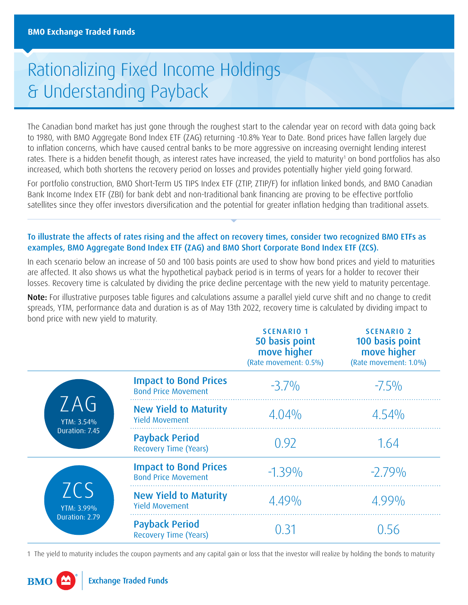## Rationalizing Fixed Income Holdings & Understanding Payback

The Canadian bond market has just gone through the roughest start to the calendar year on record with data going back to 1980, with BMO Aggregate Bond Index ETF (ZAG) returning -10.8% Year to Date. Bond prices have fallen largely due to inflation concerns, which have caused central banks to be more aggressive on increasing overnight lending interest rates. There is a hidden benefit though, as interest rates have increased, the yield to maturity<sup>1</sup> on bond portfolios has also increased, which both shortens the recovery period on losses and provides potentially higher yield going forward.

For portfolio construction, BMO Short-Term US TIPS Index ETF (ZTIP, ZTIP/F) for inflation linked bonds, and BMO Canadian Bank Income Index ETF (ZBI) for bank debt and non-traditional bank financing are proving to be effective portfolio satellites since they offer investors diversification and the potential for greater inflation hedging than traditional assets.

## To illustrate the affects of rates rising and the affect on recovery times, consider two recognized BMO ETFs as examples, BMO Aggregate Bond Index ETF (ZAG) and BMO Short Corporate Bond Index ETF (ZCS).

In each scenario below an increase of 50 and 100 basis points are used to show how bond prices and yield to maturities are affected. It also shows us what the hypothetical payback period is in terms of years for a holder to recover their losses. Recovery time is calculated by dividing the price decline percentage with the new yield to maturity percentage.

Note: For illustrative purposes table figures and calculations assume a parallel yield curve shift and no change to credit spreads, YTM, performance data and duration is as of May 13th 2022, recovery time is calculated by dividing impact to bond price with new yield to maturity.

|                                            |                                                            | <b>SCENARIO 1</b><br>50 basis point<br>move higher<br>(Rate movement: 0.5%) | <b>SCENARIO 2</b><br>100 basis point<br>move higher<br>(Rate movement: 1.0%) |
|--------------------------------------------|------------------------------------------------------------|-----------------------------------------------------------------------------|------------------------------------------------------------------------------|
| ZAG<br>YTM: 3.54%<br>Duration: 7.45        | <b>Impact to Bond Prices</b><br><b>Bond Price Movement</b> | $-3.7\%$                                                                    | $-7.5\%$                                                                     |
|                                            | <b>New Yield to Maturity</b><br><b>Yield Movement</b>      | $4.04\%$                                                                    | 4.54%                                                                        |
|                                            | <b>Payback Period</b><br><b>Recovery Time (Years)</b>      | 0.92                                                                        | 1.64                                                                         |
| <b>ZCS</b><br>YTM: 3.99%<br>Duration: 2.79 | <b>Impact to Bond Prices</b><br><b>Bond Price Movement</b> | $-1.39\%$                                                                   | $-2.79\%$                                                                    |
|                                            | <b>New Yield to Maturity</b><br><b>Yield Movement</b>      | $4.49\%$                                                                    | $4.99\%$                                                                     |
|                                            | <b>Payback Period</b><br><b>Recovery Time (Years)</b>      | Ი 31                                                                        | () 56                                                                        |

1 The yield to maturity includes the coupon payments and any capital gain or loss that the investor will realize by holding the bonds to maturity